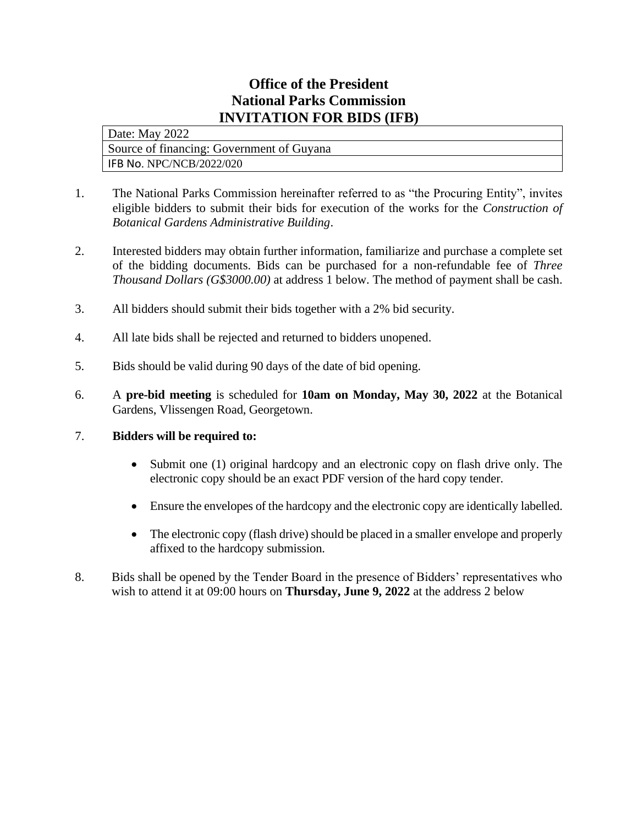## **Office of the President National Parks Commission INVITATION FOR BIDS (IFB)**

Date: May 2022 Source of financing: Government of Guyana IFB No. NPC/NCB/2022/020

- 1. The National Parks Commission hereinafter referred to as "the Procuring Entity", invites eligible bidders to submit their bids for execution of the works for the *Construction of Botanical Gardens Administrative Building*.
- 2. Interested bidders may obtain further information, familiarize and purchase a complete set of the bidding documents. Bids can be purchased for a non-refundable fee of *Three Thousand Dollars (G\$3000.00)* at address 1 below. The method of payment shall be cash.
- 3. All bidders should submit their bids together with a 2% bid security*.*
- 4. All late bids shall be rejected and returned to bidders unopened.
- 5. Bids should be valid during 90 days of the date of bid opening.
- 6. A **pre-bid meeting** is scheduled for **10am on Monday, May 30, 2022** at the Botanical Gardens, Vlissengen Road, Georgetown.

## 7. **Bidders will be required to:**

- Submit one (1) original hardcopy and an electronic copy on flash drive only. The electronic copy should be an exact PDF version of the hard copy tender.
- Ensure the envelopes of the hardcopy and the electronic copy are identically labelled.
- The electronic copy (flash drive) should be placed in a smaller envelope and properly affixed to the hardcopy submission.
- 8. Bids shall be opened by the Tender Board in the presence of Bidders' representatives who wish to attend it at 09:00 hours on **Thursday, June 9, 2022** at the address 2 below